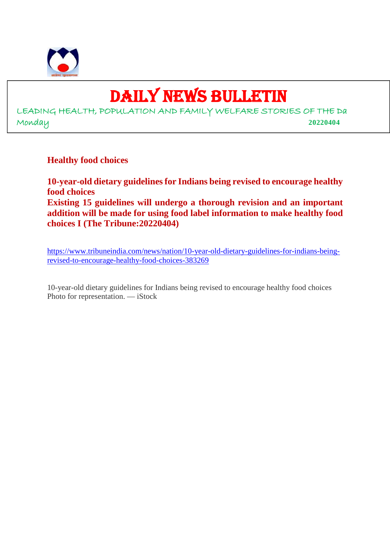

# DAILY NEWS BULLETIN

LEADING HEALTH, POPULATION AND FAMILY WELFARE STORIES OF THE Da Monday **20220404**

**Healthy food choices**

**10-year-old dietary guidelines for Indians being revised to encourage healthy food choices Existing 15 guidelines will undergo a thorough revision and an important addition will be made for using food label information to make healthy food choices I (The Tribune:20220404)**

https://www.tribuneindia.com/news/nation/10-year-old-dietary-guidelines-for-indians-beingrevised-to-encourage-healthy-food-choices-383269

10-year-old dietary guidelines for Indians being revised to encourage healthy food choices Photo for representation. — iStock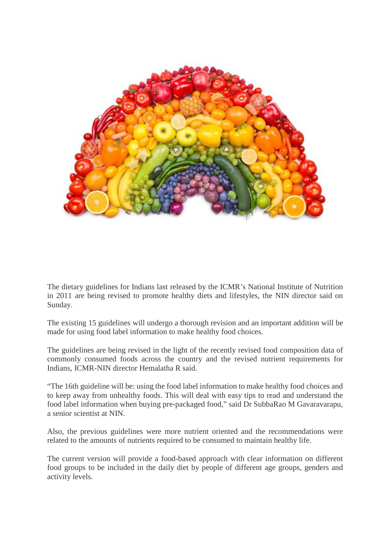

The dietary guidelines for Indians last released by the ICMR's National Institute of Nutrition in 2011 are being revised to promote healthy diets and lifestyles, the NIN director said on Sunday.

The existing 15 guidelines will undergo a thorough revision and an important addition will be made for using food label information to make healthy food choices.

The guidelines are being revised in the light of the recently revised food composition data of commonly consumed foods across the country and the revised nutrient requirements for Indians, ICMR-NIN director Hemalatha R said.

"The 16th guideline will be: using the food label information to make healthy food choices and to keep away from unhealthy foods. This will deal with easy tips to read and understand the food label information when buying pre-packaged food," said Dr SubbaRao M Gavaravarapu, a senior scientist at NIN.

Also, the previous guidelines were more nutrient oriented and the recommendations were related to the amounts of nutrients required to be consumed to maintain healthy life.

The current version will provide a food-based approach with clear information on different food groups to be included in the daily diet by people of different age groups, genders and activity levels.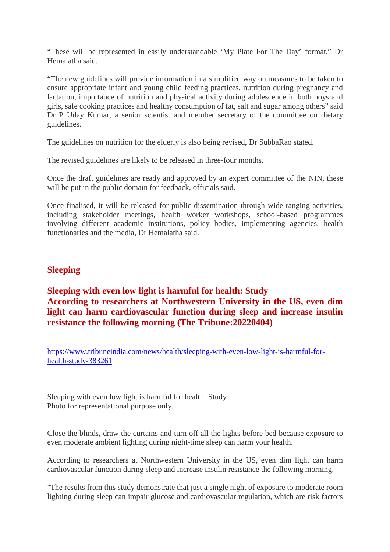"These will be represented in easily understandable 'My Plate For The Day' format," Dr Hemalatha said.

"The new guidelines will provide information in a simplified way on measures to be taken to ensure appropriate infant and young child feeding practices, nutrition during pregnancy and lactation, importance of nutrition and physical activity during adolescence in both boys and girls, safe cooking practices and healthy consumption of fat, salt and sugar among others" said Dr P Uday Kumar, a senior scientist and member secretary of the committee on dietary guidelines.

The guidelines on nutrition for the elderly is also being revised, Dr SubbaRao stated.

The revised guidelines are likely to be released in three-four months.

Once the draft guidelines are ready and approved by an expert committee of the NIN, these will be put in the public domain for feedback, officials said.

Once finalised, it will be released for public dissemination through wide-ranging activities, including stakeholder meetings, health worker workshops, school-based programmes involving different academic institutions, policy bodies, implementing agencies, health functionaries and the media, Dr Hemalatha said.

# **Sleeping**

# **Sleeping with even low light is harmful for health: Study According to researchers at Northwestern University in the US, even dim light can harm cardiovascular function during sleep and increase insulin resistance the following morning (The Tribune:20220404)**

https://www.tribuneindia.com/news/health/sleeping-with-even-low-light-is-harmful-forhealth-study-383261

Sleeping with even low light is harmful for health: Study Photo for representational purpose only.

Close the blinds, draw the curtains and turn off all the lights before bed because exposure to even moderate ambient lighting during night-time sleep can harm your health.

According to researchers at Northwestern University in the US, even dim light can harm cardiovascular function during sleep and increase insulin resistance the following morning.

"The results from this study demonstrate that just a single night of exposure to moderate room lighting during sleep can impair glucose and cardiovascular regulation, which are risk factors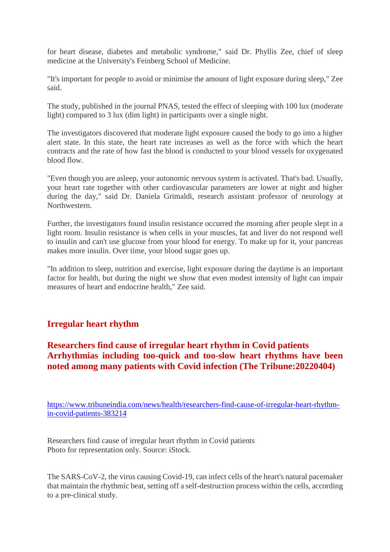for heart disease, diabetes and metabolic syndrome," said Dr. Phyllis Zee, chief of sleep medicine at the University's Feinberg School of Medicine.

"It's important for people to avoid or minimise the amount of light exposure during sleep," Zee said.

The study, published in the journal PNAS, tested the effect of sleeping with 100 lux (moderate light) compared to 3 lux (dim light) in participants over a single night.

The investigators discovered that moderate light exposure caused the body to go into a higher alert state. In this state, the heart rate increases as well as the force with which the heart contracts and the rate of how fast the blood is conducted to your blood vessels for oxygenated blood flow.

"Even though you are asleep, your autonomic nervous system is activated. That's bad. Usually, your heart rate together with other cardiovascular parameters are lower at night and higher during the day," said Dr. Daniela Grimaldi, research assistant professor of neurology at Northwestern.

Further, the investigators found insulin resistance occurred the morning after people slept in a light room. Insulin resistance is when cells in your muscles, fat and liver do not respond well to insulin and can't use glucose from your blood for energy. To make up for it, your pancreas makes more insulin. Over time, your blood sugar goes up.

"In addition to sleep, nutrition and exercise, light exposure during the daytime is an important factor for health, but during the night we show that even modest intensity of light can impair measures of heart and endocrine health," Zee said.

# **Irregular heart rhythm**

# **Researchers find cause of irregular heart rhythm in Covid patients Arrhythmias including too-quick and too-slow heart rhythms have been noted among many patients with Covid infection (The Tribune:20220404)**

https://www.tribuneindia.com/news/health/researchers-find-cause-of-irregular-heart-rhythmin-covid-patients-383214

Researchers find cause of irregular heart rhythm in Covid patients Photo for representation only. Source: iStock.

The SARS-CoV-2, the virus causing Covid-19, can infect cells of the heart's natural pacemaker that maintain the rhythmic beat, setting off a self-destruction process within the cells, according to a pre-clinical study.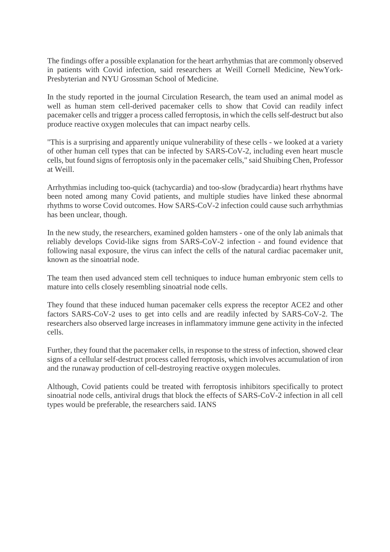The findings offer a possible explanation for the heart arrhythmias that are commonly observed in patients with Covid infection, said researchers at Weill Cornell Medicine, NewYork-Presbyterian and NYU Grossman School of Medicine.

In the study reported in the journal Circulation Research, the team used an animal model as well as human stem cell-derived pacemaker cells to show that Covid can readily infect pacemaker cells and trigger a process called ferroptosis, in which the cells self-destruct but also produce reactive oxygen molecules that can impact nearby cells.

"This is a surprising and apparently unique vulnerability of these cells - we looked at a variety of other human cell types that can be infected by SARS-CoV-2, including even heart muscle cells, but found signs of ferroptosis only in the pacemaker cells," said Shuibing Chen, Professor at Weill.

Arrhythmias including too-quick (tachycardia) and too-slow (bradycardia) heart rhythms have been noted among many Covid patients, and multiple studies have linked these abnormal rhythms to worse Covid outcomes. How SARS-CoV-2 infection could cause such arrhythmias has been unclear, though.

In the new study, the researchers, examined golden hamsters - one of the only lab animals that reliably develops Covid-like signs from SARS-CoV-2 infection - and found evidence that following nasal exposure, the virus can infect the cells of the natural cardiac pacemaker unit, known as the sinoatrial node.

The team then used advanced stem cell techniques to induce human embryonic stem cells to mature into cells closely resembling sinoatrial node cells.

They found that these induced human pacemaker cells express the receptor ACE2 and other factors SARS-CoV-2 uses to get into cells and are readily infected by SARS-CoV-2. The researchers also observed large increases in inflammatory immune gene activity in the infected cells.

Further, they found that the pacemaker cells, in response to the stress of infection, showed clear signs of a cellular self-destruct process called ferroptosis, which involves accumulation of iron and the runaway production of cell-destroying reactive oxygen molecules.

Although, Covid patients could be treated with ferroptosis inhibitors specifically to protect sinoatrial node cells, antiviral drugs that block the effects of SARS-CoV-2 infection in all cell types would be preferable, the researchers said. IANS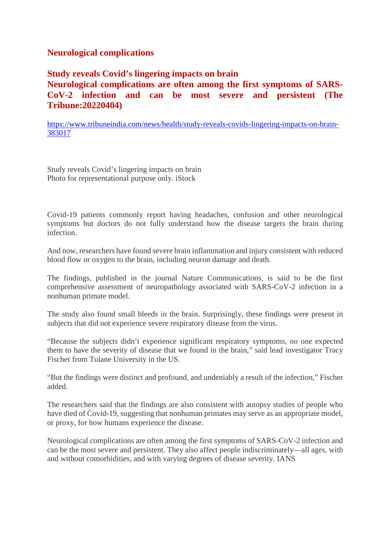# **Neurological complications**

**Study reveals Covid's lingering impacts on brain Neurological complications are often among the first symptoms of SARS-CoV-2 infection and can be most severe and persistent (The Tribune:20220404)**

https://www.tribuneindia.com/news/health/study-reveals-covids-lingering-impacts-on-brain-383017

Study reveals Covid's lingering impacts on brain Photo for representational purpose only. iStock

Covid-19 patients commonly report having headaches, confusion and other neurological symptoms but doctors do not fully understand how the disease targets the brain during infection.

And now, researchers have found severe brain inflammation and injury consistent with reduced blood flow or oxygen to the brain, including neuron damage and death.

The findings, published in the journal Nature Communications, is said to be the first comprehensive assessment of neuropathology associated with SARS-CoV-2 infection in a nonhuman primate model.

The study also found small bleeds in the brain. Surprisingly, these findings were present in subjects that did not experience severe respiratory disease from the virus.

"Because the subjects didn't experience significant respiratory symptoms, no one expected them to have the severity of disease that we found in the brain," said lead investigator Tracy Fischer from Tulane University in the US.

"But the findings were distinct and profound, and undeniably a result of the infection," Fischer added.

The researchers said that the findings are also consistent with autopsy studies of people who have died of Covid-19, suggesting that nonhuman primates may serve as an appropriate model, or proxy, for how humans experience the disease.

Neurological complications are often among the first symptoms of SARS-CoV-2 infection and can be the most severe and persistent. They also affect people indiscriminately—all ages, with and without comorbidities, and with varying degrees of disease severity. IANS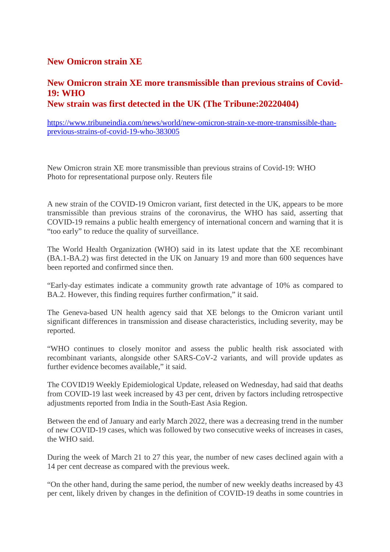## **New Omicron strain XE**

## **New Omicron strain XE more transmissible than previous strains of Covid-19: WHO New strain was first detected in the UK (The Tribune:20220404)**

https://www.tribuneindia.com/news/world/new-omicron-strain-xe-more-transmissible-thanprevious-strains-of-covid-19-who-383005

New Omicron strain XE more transmissible than previous strains of Covid-19: WHO Photo for representational purpose only. Reuters file

A new strain of the COVID-19 Omicron variant, first detected in the UK, appears to be more transmissible than previous strains of the coronavirus, the WHO has said, asserting that COVID-19 remains a public health emergency of international concern and warning that it is "too early" to reduce the quality of surveillance.

The World Health Organization (WHO) said in its latest update that the XE recombinant (BA.1-BA.2) was first detected in the UK on January 19 and more than 600 sequences have been reported and confirmed since then.

"Early-day estimates indicate a community growth rate advantage of 10% as compared to BA.2. However, this finding requires further confirmation," it said.

The Geneva-based UN health agency said that XE belongs to the Omicron variant until significant differences in transmission and disease characteristics, including severity, may be reported.

"WHO continues to closely monitor and assess the public health risk associated with recombinant variants, alongside other SARS-CoV-2 variants, and will provide updates as further evidence becomes available," it said.

The COVID19 Weekly Epidemiological Update, released on Wednesday, had said that deaths from COVID-19 last week increased by 43 per cent, driven by factors including retrospective adjustments reported from India in the South-East Asia Region.

Between the end of January and early March 2022, there was a decreasing trend in the number of new COVID-19 cases, which was followed by two consecutive weeks of increases in cases, the WHO said.

During the week of March 21 to 27 this year, the number of new cases declined again with a 14 per cent decrease as compared with the previous week.

"On the other hand, during the same period, the number of new weekly deaths increased by 43 per cent, likely driven by changes in the definition of COVID-19 deaths in some countries in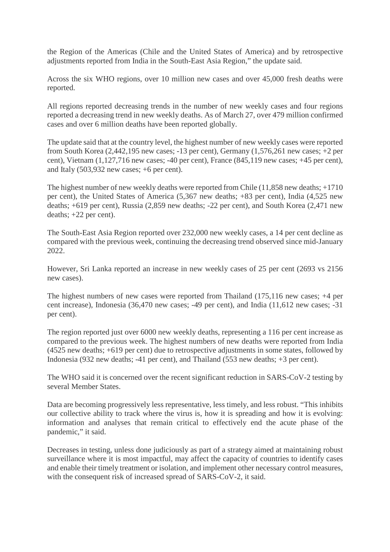the Region of the Americas (Chile and the United States of America) and by retrospective adjustments reported from India in the South-East Asia Region," the update said.

Across the six WHO regions, over 10 million new cases and over 45,000 fresh deaths were reported.

All regions reported decreasing trends in the number of new weekly cases and four regions reported a decreasing trend in new weekly deaths. As of March 27, over 479 million confirmed cases and over 6 million deaths have been reported globally.

The update said that at the country level, the highest number of new weekly cases were reported from South Korea (2,442,195 new cases; -13 per cent), Germany (1,576,261 new cases; +2 per cent), Vietnam (1,127,716 new cases; -40 per cent), France (845,119 new cases; +45 per cent), and Italy (503,932 new cases; +6 per cent).

The highest number of new weekly deaths were reported from Chile (11,858 new deaths; +1710 per cent), the United States of America (5,367 new deaths; +83 per cent), India (4,525 new deaths; +619 per cent), Russia (2,859 new deaths; -22 per cent), and South Korea (2,471 new deaths; +22 per cent).

The South-East Asia Region reported over 232,000 new weekly cases, a 14 per cent decline as compared with the previous week, continuing the decreasing trend observed since mid-January 2022.

However, Sri Lanka reported an increase in new weekly cases of 25 per cent (2693 vs 2156 new cases).

The highest numbers of new cases were reported from Thailand (175,116 new cases; +4 per cent increase), Indonesia (36,470 new cases; -49 per cent), and India (11,612 new cases; -31 per cent).

The region reported just over 6000 new weekly deaths, representing a 116 per cent increase as compared to the previous week. The highest numbers of new deaths were reported from India (4525 new deaths; +619 per cent) due to retrospective adjustments in some states, followed by Indonesia (932 new deaths; -41 per cent), and Thailand (553 new deaths; +3 per cent).

The WHO said it is concerned over the recent significant reduction in SARS-CoV-2 testing by several Member States.

Data are becoming progressively less representative, less timely, and less robust. "This inhibits our collective ability to track where the virus is, how it is spreading and how it is evolving: information and analyses that remain critical to effectively end the acute phase of the pandemic," it said.

Decreases in testing, unless done judiciously as part of a strategy aimed at maintaining robust surveillance where it is most impactful, may affect the capacity of countries to identify cases and enable their timely treatment or isolation, and implement other necessary control measures, with the consequent risk of increased spread of SARS-CoV-2, it said.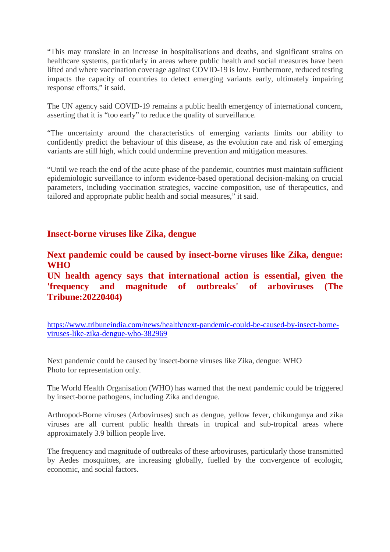"This may translate in an increase in hospitalisations and deaths, and significant strains on healthcare systems, particularly in areas where public health and social measures have been lifted and where vaccination coverage against COVID-19 is low. Furthermore, reduced testing impacts the capacity of countries to detect emerging variants early, ultimately impairing response efforts," it said.

The UN agency said COVID-19 remains a public health emergency of international concern, asserting that it is "too early" to reduce the quality of surveillance.

"The uncertainty around the characteristics of emerging variants limits our ability to confidently predict the behaviour of this disease, as the evolution rate and risk of emerging variants are still high, which could undermine prevention and mitigation measures.

"Until we reach the end of the acute phase of the pandemic, countries must maintain sufficient epidemiologic surveillance to inform evidence-based operational decision-making on crucial parameters, including vaccination strategies, vaccine composition, use of therapeutics, and tailored and appropriate public health and social measures," it said.

#### **Insect-borne viruses like Zika, dengue**

**Next pandemic could be caused by insect-borne viruses like Zika, dengue: WHO**

**UN health agency says that international action is essential, given the 'frequency and magnitude of outbreaks' of arboviruses (The Tribune:20220404)**

https://www.tribuneindia.com/news/health/next-pandemic-could-be-caused-by-insect-borneviruses-like-zika-dengue-who-382969

Next pandemic could be caused by insect-borne viruses like Zika, dengue: WHO Photo for representation only.

The World Health Organisation (WHO) has warned that the next pandemic could be triggered by insect-borne pathogens, including Zika and dengue.

Arthropod-Borne viruses (Arboviruses) such as dengue, yellow fever, chikungunya and zika viruses are all current public health threats in tropical and sub-tropical areas where approximately 3.9 billion people live.

The frequency and magnitude of outbreaks of these arboviruses, particularly those transmitted by Aedes mosquitoes, are increasing globally, fuelled by the convergence of ecologic, economic, and social factors.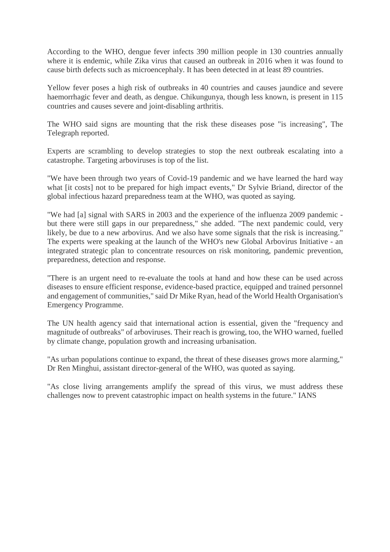According to the WHO, dengue fever infects 390 million people in 130 countries annually where it is endemic, while Zika virus that caused an outbreak in 2016 when it was found to cause birth defects such as microencephaly. It has been detected in at least 89 countries.

Yellow fever poses a high risk of outbreaks in 40 countries and causes jaundice and severe haemorrhagic fever and death, as dengue. Chikungunya, though less known, is present in 115 countries and causes severe and joint-disabling arthritis.

The WHO said signs are mounting that the risk these diseases pose "is increasing", The Telegraph reported.

Experts are scrambling to develop strategies to stop the next outbreak escalating into a catastrophe. Targeting arboviruses is top of the list.

"We have been through two years of Covid-19 pandemic and we have learned the hard way what [it costs] not to be prepared for high impact events," Dr Sylvie Briand, director of the global infectious hazard preparedness team at the WHO, was quoted as saying.

"We had [a] signal with SARS in 2003 and the experience of the influenza 2009 pandemic but there were still gaps in our preparedness," she added. "The next pandemic could, very likely, be due to a new arbovirus. And we also have some signals that the risk is increasing." The experts were speaking at the launch of the WHO's new Global Arbovirus Initiative - an integrated strategic plan to concentrate resources on risk monitoring, pandemic prevention, preparedness, detection and response.

"There is an urgent need to re-evaluate the tools at hand and how these can be used across diseases to ensure efficient response, evidence-based practice, equipped and trained personnel and engagement of communities," said Dr Mike Ryan, head of the World Health Organisation's Emergency Programme.

The UN health agency said that international action is essential, given the "frequency and magnitude of outbreaks" of arboviruses. Their reach is growing, too, the WHO warned, fuelled by climate change, population growth and increasing urbanisation.

"As urban populations continue to expand, the threat of these diseases grows more alarming," Dr Ren Minghui, assistant director-general of the WHO, was quoted as saying.

"As close living arrangements amplify the spread of this virus, we must address these challenges now to prevent catastrophic impact on health systems in the future." IANS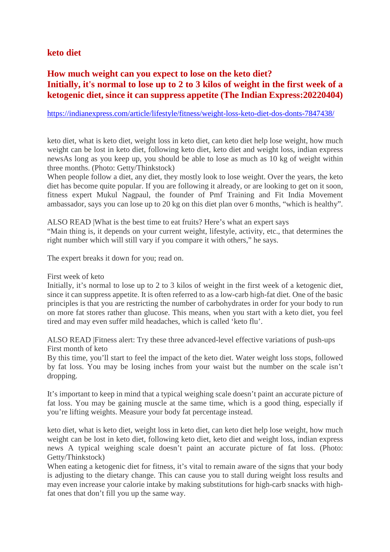## **keto diet**

# **How much weight can you expect to lose on the keto diet? Initially, it's normal to lose up to 2 to 3 kilos of weight in the first week of a ketogenic diet, since it can suppress appetite (The Indian Express:20220404)**

#### https://indianexpress.com/article/lifestyle/fitness/weight-loss-keto-diet-dos-donts-7847438/

keto diet, what is keto diet, weight loss in keto diet, can keto diet help lose weight, how much weight can be lost in keto diet, following keto diet, keto diet and weight loss, indian express newsAs long as you keep up, you should be able to lose as much as 10 kg of weight within three months. (Photo: Getty/Thinkstock)

When people follow a diet, any diet, they mostly look to lose weight. Over the years, the keto diet has become quite popular. If you are following it already, or are looking to get on it soon, fitness expert Mukul Nagpaul, the founder of Pmf Training and Fit India Movement ambassador, says you can lose up to 20 kg on this diet plan over 6 months, "which is healthy".

ALSO READ |What is the best time to eat fruits? Here's what an expert says "Main thing is, it depends on your current weight, lifestyle, activity, etc., that determines the right number which will still vary if you compare it with others," he says.

The expert breaks it down for you; read on.

#### First week of keto

Initially, it's normal to lose up to 2 to 3 kilos of weight in the first week of a ketogenic diet, since it can suppress appetite. It is often referred to as a low-carb high-fat diet. One of the basic principles is that you are restricting the number of carbohydrates in order for your body to run on more fat stores rather than glucose. This means, when you start with a keto diet, you feel tired and may even suffer mild headaches, which is called 'keto flu'.

ALSO READ |Fitness alert: Try these three advanced-level effective variations of push-ups First month of keto

By this time, you'll start to feel the impact of the keto diet. Water weight loss stops, followed by fat loss. You may be losing inches from your waist but the number on the scale isn't dropping.

It's important to keep in mind that a typical weighing scale doesn't paint an accurate picture of fat loss. You may be gaining muscle at the same time, which is a good thing, especially if you're lifting weights. Measure your body fat percentage instead.

keto diet, what is keto diet, weight loss in keto diet, can keto diet help lose weight, how much weight can be lost in keto diet, following keto diet, keto diet and weight loss, indian express news A typical weighing scale doesn't paint an accurate picture of fat loss. (Photo: Getty/Thinkstock)

When eating a ketogenic diet for fitness, it's vital to remain aware of the signs that your body is adjusting to the dietary change. This can cause you to stall during weight loss results and may even increase your calorie intake by making substitutions for high-carb snacks with highfat ones that don't fill you up the same way.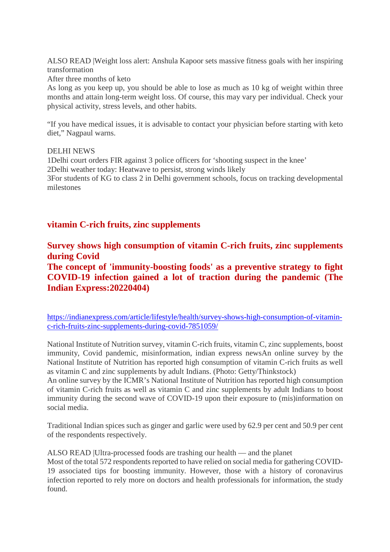ALSO READ |Weight loss alert: Anshula Kapoor sets massive fitness goals with her inspiring transformation

After three months of keto

As long as you keep up, you should be able to lose as much as 10 kg of weight within three months and attain long-term weight loss. Of course, this may vary per individual. Check your physical activity, stress levels, and other habits.

"If you have medical issues, it is advisable to contact your physician before starting with keto diet," Nagpaul warns.

#### DELHI NEWS

1Delhi court orders FIR against 3 police officers for 'shooting suspect in the knee' 2Delhi weather today: Heatwave to persist, strong winds likely 3For students of KG to class 2 in Delhi government schools, focus on tracking developmental milestones

## **vitamin C-rich fruits, zinc supplements**

**Survey shows high consumption of vitamin C-rich fruits, zinc supplements during Covid**

**The concept of 'immunity-boosting foods' as a preventive strategy to fight COVID-19 infection gained a lot of traction during the pandemic (The Indian Express:20220404)**

https://indianexpress.com/article/lifestyle/health/survey-shows-high-consumption-of-vitaminc-rich-fruits-zinc-supplements-during-covid-7851059/

National Institute of Nutrition survey, vitamin C-rich fruits, vitamin C, zinc supplements, boost immunity, Covid pandemic, misinformation, indian express newsAn online survey by the National Institute of Nutrition has reported high consumption of vitamin C-rich fruits as well as vitamin C and zinc supplements by adult Indians. (Photo: Getty/Thinkstock)

An online survey by the ICMR's National Institute of Nutrition has reported high consumption of vitamin C-rich fruits as well as vitamin C and zinc supplements by adult Indians to boost immunity during the second wave of COVID-19 upon their exposure to (mis)information on social media.

Traditional Indian spices such as ginger and garlic were used by 62.9 per cent and 50.9 per cent of the respondents respectively.

ALSO READ |Ultra-processed foods are trashing our health — and the planet

Most of the total 572 respondents reported to have relied on social media for gathering COVID-19 associated tips for boosting immunity. However, those with a history of coronavirus infection reported to rely more on doctors and health professionals for information, the study found.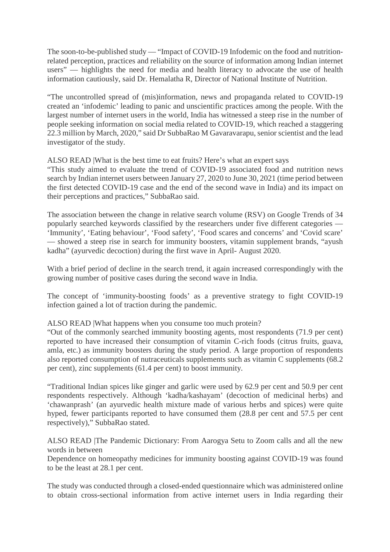The soon-to-be-published study — "Impact of COVID-19 Infodemic on the food and nutritionrelated perception, practices and reliability on the source of information among Indian internet users" — highlights the need for media and health literacy to advocate the use of health information cautiously, said Dr. Hemalatha R, Director of National Institute of Nutrition.

"The uncontrolled spread of (mis)information, news and propaganda related to COVID-19 created an 'infodemic' leading to panic and unscientific practices among the people. With the largest number of internet users in the world, India has witnessed a steep rise in the number of people seeking information on social media related to COVID-19, which reached a staggering 22.3 million by March, 2020," said Dr SubbaRao M Gavaravarapu, senior scientist and the lead investigator of the study.

#### ALSO READ |What is the best time to eat fruits? Here's what an expert says

"This study aimed to evaluate the trend of COVID-19 associated food and nutrition news search by Indian internet users between January 27, 2020 to June 30, 2021 (time period between the first detected COVID-19 case and the end of the second wave in India) and its impact on their perceptions and practices," SubbaRao said.

The association between the change in relative search volume (RSV) on Google Trends of 34 popularly searched keywords classified by the researchers under five different categories — 'Immunity', 'Eating behaviour', 'Food safety', 'Food scares and concerns' and 'Covid scare' — showed a steep rise in search for immunity boosters, vitamin supplement brands, "ayush kadha" (ayurvedic decoction) during the first wave in April- August 2020.

With a brief period of decline in the search trend, it again increased correspondingly with the growing number of positive cases during the second wave in India.

The concept of 'immunity-boosting foods' as a preventive strategy to fight COVID-19 infection gained a lot of traction during the pandemic.

#### ALSO READ |What happens when you consume too much protein?

"Out of the commonly searched immunity boosting agents, most respondents (71.9 per cent) reported to have increased their consumption of vitamin C-rich foods (citrus fruits, guava, amla, etc.) as immunity boosters during the study period. A large proportion of respondents also reported consumption of nutraceuticals supplements such as vitamin C supplements (68.2 per cent), zinc supplements (61.4 per cent) to boost immunity.

"Traditional Indian spices like ginger and garlic were used by 62.9 per cent and 50.9 per cent respondents respectively. Although 'kadha/kashayam' (decoction of medicinal herbs) and 'chawanprash' (an ayurvedic health mixture made of various herbs and spices) were quite hyped, fewer participants reported to have consumed them (28.8 per cent and 57.5 per cent respectively)," SubbaRao stated.

#### ALSO READ |The Pandemic Dictionary: From Aarogya Setu to Zoom calls and all the new words in between

Dependence on homeopathy medicines for immunity boosting against COVID-19 was found to be the least at 28.1 per cent.

The study was conducted through a closed-ended questionnaire which was administered online to obtain cross-sectional information from active internet users in India regarding their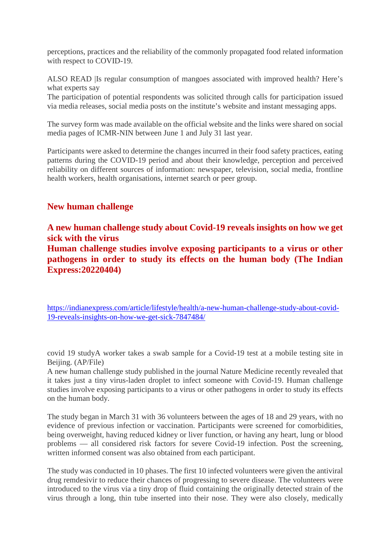perceptions, practices and the reliability of the commonly propagated food related information with respect to COVID-19.

ALSO READ |Is regular consumption of mangoes associated with improved health? Here's what experts say

The participation of potential respondents was solicited through calls for participation issued via media releases, social media posts on the institute's website and instant messaging apps.

The survey form was made available on the official website and the links were shared on social media pages of ICMR-NIN between June 1 and July 31 last year.

Participants were asked to determine the changes incurred in their food safety practices, eating patterns during the COVID-19 period and about their knowledge, perception and perceived reliability on different sources of information: newspaper, television, social media, frontline health workers, health organisations, internet search or peer group.

# **New human challenge**

**A new human challenge study about Covid-19 reveals insights on how we get sick with the virus**

**Human challenge studies involve exposing participants to a virus or other pathogens in order to study its effects on the human body (The Indian Express:20220404)**

https://indianexpress.com/article/lifestyle/health/a-new-human-challenge-study-about-covid-19-reveals-insights-on-how-we-get-sick-7847484/

covid 19 studyA worker takes a swab sample for a Covid-19 test at a mobile testing site in Beijing. (AP/File)

A new human challenge study published in the journal Nature Medicine recently revealed that it takes just a tiny virus-laden droplet to infect someone with Covid-19. Human challenge studies involve exposing participants to a virus or other pathogens in order to study its effects on the human body.

The study began in March 31 with 36 volunteers between the ages of 18 and 29 years, with no evidence of previous infection or vaccination. Participants were screened for comorbidities, being overweight, having reduced kidney or liver function, or having any heart, lung or blood problems — all considered risk factors for severe Covid-19 infection. Post the screening, written informed consent was also obtained from each participant.

The study was conducted in 10 phases. The first 10 infected volunteers were given the antiviral drug remdesivir to reduce their chances of progressing to severe disease. The volunteers were introduced to the virus via a tiny drop of fluid containing the originally detected strain of the virus through a long, thin tube inserted into their nose. They were also closely, medically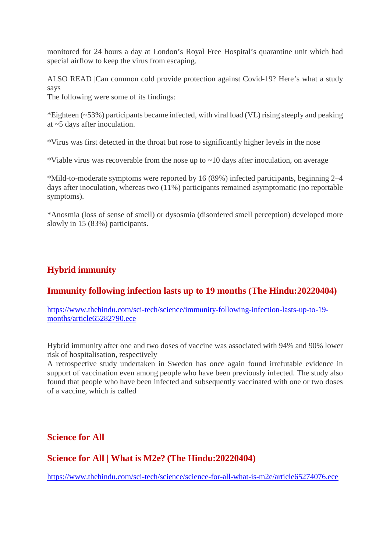monitored for 24 hours a day at London's Royal Free Hospital's quarantine unit which had special airflow to keep the virus from escaping.

ALSO READ |Can common cold provide protection against Covid-19? Here's what a study says

The following were some of its findings:

\*Eighteen (~53%) participants became infected, with viral load (VL) rising steeply and peaking at ~5 days after inoculation.

\*Virus was first detected in the throat but rose to significantly higher levels in the nose

\*Viable virus was recoverable from the nose up to ~10 days after inoculation, on average

\*Mild-to-moderate symptoms were reported by 16 (89%) infected participants, beginning 2–4 days after inoculation, whereas two (11%) participants remained asymptomatic (no reportable symptoms).

\*Anosmia (loss of sense of smell) or dysosmia (disordered smell perception) developed more slowly in 15 (83%) participants.

# **Hybrid immunity**

# **Immunity following infection lasts up to 19 months (The Hindu:20220404)**

https://www.thehindu.com/sci-tech/science/immunity-following-infection-lasts-up-to-19 months/article65282790.ece

Hybrid immunity after one and two doses of vaccine was associated with 94% and 90% lower risk of hospitalisation, respectively

A retrospective study undertaken in Sweden has once again found irrefutable evidence in support of vaccination even among people who have been previously infected. The study also found that people who have been infected and subsequently vaccinated with one or two doses of a vaccine, which is called

**Science for All**

# **Science for All | What is M2e? (The Hindu:20220404)**

https://www.thehindu.com/sci-tech/science/science-for-all-what-is-m2e/article65274076.ece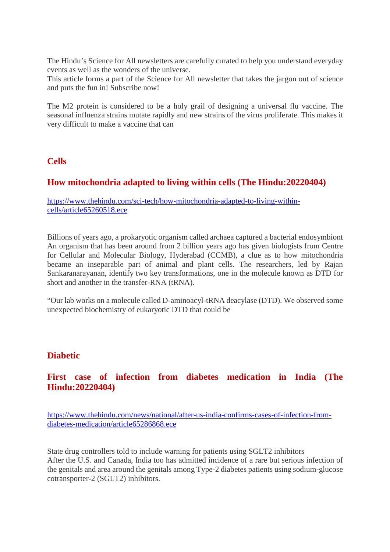The Hindu's Science for All newsletters are carefully curated to help you understand everyday events as well as the wonders of the universe.

This article forms a part of the Science for All newsletter that takes the jargon out of science and puts the fun in! Subscribe now!

The M2 protein is considered to be a holy grail of designing a universal flu vaccine. The seasonal influenza strains mutate rapidly and new strains of the virus proliferate. This makes it very difficult to make a vaccine that can

## **Cells**

# **How mitochondria adapted to living within cells (The Hindu:20220404)**

https://www.thehindu.com/sci-tech/how-mitochondria-adapted-to-living-withincells/article65260518.ece

Billions of years ago, a prokaryotic organism called archaea captured a bacterial endosymbiont An organism that has been around from 2 billion years ago has given biologists from Centre for Cellular and Molecular Biology, Hyderabad (CCMB), a clue as to how mitochondria became an inseparable part of animal and plant cells. The researchers, led by Rajan Sankaranarayanan, identify two key transformations, one in the molecule known as DTD for short and another in the transfer-RNA (tRNA).

"Our lab works on a molecule called D-aminoacyl-tRNA deacylase (DTD). We observed some unexpected biochemistry of eukaryotic DTD that could be

#### **Diabetic**

**First case of infection from diabetes medication in India (The Hindu:20220404)**

https://www.thehindu.com/news/national/after-us-india-confirms-cases-of-infection-fromdiabetes-medication/article65286868.ece

State drug controllers told to include warning for patients using SGLT2 inhibitors After the U.S. and Canada, India too has admitted incidence of a rare but serious infection of the genitals and area around the genitals among Type-2 diabetes patients using sodium-glucose cotransporter-2 (SGLT2) inhibitors.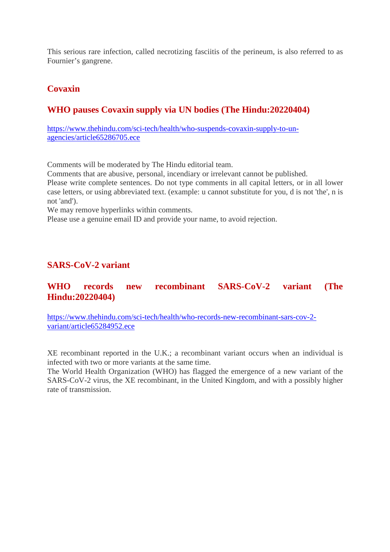This serious rare infection, called necrotizing fasciitis of the perineum, is also referred to as Fournier's gangrene.

# **Covaxin**

# **WHO pauses Covaxin supply via UN bodies (The Hindu:20220404)**

https://www.thehindu.com/sci-tech/health/who-suspends-covaxin-supply-to-unagencies/article65286705.ece

Comments will be moderated by The Hindu editorial team.

Comments that are abusive, personal, incendiary or irrelevant cannot be published.

Please write complete sentences. Do not type comments in all capital letters, or in all lower case letters, or using abbreviated text. (example: u cannot substitute for you, d is not 'the', n is not 'and').

We may remove hyperlinks within comments.

Please use a genuine email ID and provide your name, to avoid rejection.

# **SARS-CoV-2 variant**

# **WHO records new recombinant SARS-CoV-2 variant (The Hindu:20220404)**

https://www.thehindu.com/sci-tech/health/who-records-new-recombinant-sars-cov-2 variant/article65284952.ece

XE recombinant reported in the U.K.; a recombinant variant occurs when an individual is infected with two or more variants at the same time.

The World Health Organization (WHO) has flagged the emergence of a new variant of the SARS-CoV-2 virus, the XE recombinant, in the United Kingdom, and with a possibly higher rate of transmission.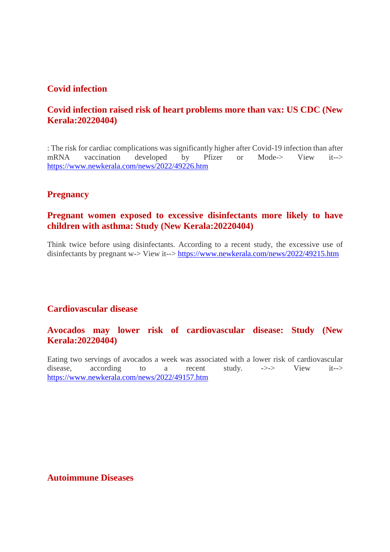#### **Covid infection**

## **Covid infection raised risk of heart problems more than vax: US CDC (New Kerala:20220404)**

: The risk for cardiac complications was significantly higher after Covid-19 infection than after mRNA vaccination developed by Pfizer or Mode-> View it--> https://www.newkerala.com/news/2022/49226.htm

#### **Pregnancy**

#### **Pregnant women exposed to excessive disinfectants more likely to have children with asthma: Study (New Kerala:20220404)**

Think twice before using disinfectants. According to a recent study, the excessive use of disinfectants by pregnant w-> View it--> https://www.newkerala.com/news/2022/49215.htm

#### **Cardiovascular disease**

## **Avocados may lower risk of cardiovascular disease: Study (New Kerala:20220404)**

Eating two servings of avocados a week was associated with a lower risk of cardiovascular disease, according to a recent study. ->-> View it--> https://www.newkerala.com/news/2022/49157.htm

#### **Autoimmune Diseases**